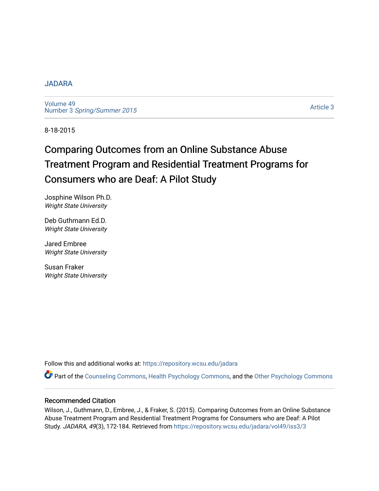### [JADARA](https://repository.wcsu.edu/jadara)

[Volume 49](https://repository.wcsu.edu/jadara/vol49)  Number 3 [Spring/Summer 2015](https://repository.wcsu.edu/jadara/vol49/iss3) 

[Article 3](https://repository.wcsu.edu/jadara/vol49/iss3/3) 

8-18-2015

# Comparing Outcomes from an Online Substance Abuse Treatment Program and Residential Treatment Programs for Consumers who are Deaf: A Pilot Study

Josphine Wilson Ph.D. Wright State University

Deb Guthmann Ed.D. Wright State University

Jared Embree Wright State University

Susan Fraker Wright State University

Follow this and additional works at: [https://repository.wcsu.edu/jadara](https://repository.wcsu.edu/jadara?utm_source=repository.wcsu.edu%2Fjadara%2Fvol49%2Fiss3%2F3&utm_medium=PDF&utm_campaign=PDFCoverPages)

Part of the [Counseling Commons,](http://network.bepress.com/hgg/discipline/1268?utm_source=repository.wcsu.edu%2Fjadara%2Fvol49%2Fiss3%2F3&utm_medium=PDF&utm_campaign=PDFCoverPages) [Health Psychology Commons](http://network.bepress.com/hgg/discipline/411?utm_source=repository.wcsu.edu%2Fjadara%2Fvol49%2Fiss3%2F3&utm_medium=PDF&utm_campaign=PDFCoverPages), and the [Other Psychology Commons](http://network.bepress.com/hgg/discipline/415?utm_source=repository.wcsu.edu%2Fjadara%2Fvol49%2Fiss3%2F3&utm_medium=PDF&utm_campaign=PDFCoverPages) 

#### Recommended Citation

Wilson, J., Guthmann, D., Embree, J., & Fraker, S. (2015). Comparing Outcomes from an Online Substance Abuse Treatment Program and Residential Treatment Programs for Consumers who are Deaf: A Pilot Study. JADARA, 49(3), 172-184. Retrieved from [https://repository.wcsu.edu/jadara/vol49/iss3/3](https://repository.wcsu.edu/jadara/vol49/iss3/3?utm_source=repository.wcsu.edu%2Fjadara%2Fvol49%2Fiss3%2F3&utm_medium=PDF&utm_campaign=PDFCoverPages)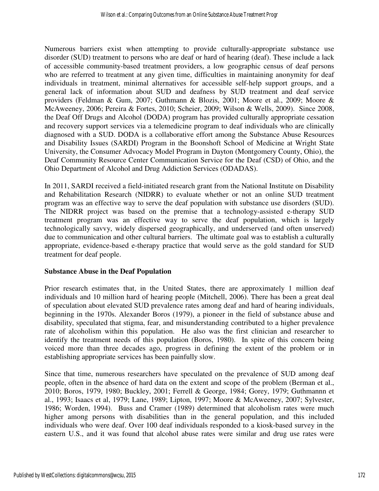Numerous barriers exist when attempting to provide culturally-appropriate substance use disorder (SUD) treatment to persons who are deaf or hard of hearing (deaf). These include a lack of accessible community-based treatment providers, a low geographic census of deaf persons who are referred to treatment at any given time, difficulties in maintaining anonymity for deaf individuals in treatment, minimal alternatives for accessible self-help support groups, and a general lack of information about SUD and deafness by SUD treatment and deaf service providers (Feldman & Gum, 2007; Guthmann & Blozis, 2001; Moore et al., 2009; Moore & McAweeney, 2006; Pereira & Fortes, 2010; Scheier, 2009; Wilson & Wells, 2009). Since 2008, the Deaf Off Drugs and Alcohol (DODA) program has provided culturally appropriate cessation and recovery support services via a telemedicine program to deaf individuals who are clinically diagnosed with a SUD. DODA is a collaborative effort among the Substance Abuse Resources and Disability Issues (SARDI) Program in the Boonshoft School of Medicine at Wright State University, the Consumer Advocacy Model Program in Dayton (Montgomery County, Ohio), the Deaf Community Resource Center Communication Service for the Deaf (CSD) of Ohio, and the Ohio Department of Alcohol and Drug Addiction Services (ODADAS).

In 2011, SARDI received a field-initiated research grant from the National Institute on Disability and Rehabilitation Research (NIDRR) to evaluate whether or not an online SUD treatment program was an effective way to serve the deaf population with substance use disorders (SUD). The NIDRR project was based on the premise that a technology-assisted e-therapy SUD treatment program was an effective way to serve the deaf population, which is largely technologically savvy, widely dispersed geographically, and underserved (and often unserved) due to communication and other cultural barriers. The ultimate goal was to establish a culturally appropriate, evidence-based e-therapy practice that would serve as the gold standard for SUD treatment for deaf people.

## **Substance Abuse in the Deaf Population**

Prior research estimates that, in the United States, there are approximately 1 million deaf individuals and 10 million hard of hearing people (Mitchell, 2006). There has been a great deal of speculation about elevated SUD prevalence rates among deaf and hard of hearing individuals, beginning in the 1970s. Alexander Boros (1979), a pioneer in the field of substance abuse and disability, speculated that stigma, fear, and misunderstanding contributed to a higher prevalence rate of alcoholism within this population. He also was the first clinician and researcher to identify the treatment needs of this population (Boros, 1980). In spite of this concern being voiced more than three decades ago, progress in defining the extent of the problem or in establishing appropriate services has been painfully slow.

Since that time, numerous researchers have speculated on the prevalence of SUD among deaf people, often in the absence of hard data on the extent and scope of the problem (Berman et al., 2010; Boros, 1979, 1980; Buckley, 2001; Ferrell & George, 1984; Gorey, 1979; Guthmannn et al., 1993; Isaacs et al, 1979; Lane, 1989; Lipton, 1997; Moore & McAweeney, 2007; Sylvester, 1986; Worden, 1994). Buss and Cramer (1989) determined that alcoholism rates were much higher among persons with disabilities than in the general population, and this included individuals who were deaf. Over 100 deaf individuals responded to a kiosk-based survey in the eastern U.S., and it was found that alcohol abuse rates were similar and drug use rates were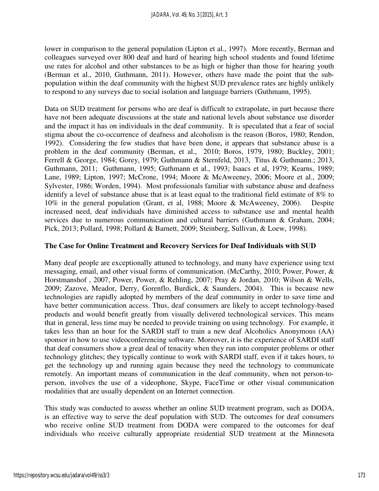lower in comparison to the general population (Lipton et al., 1997). More recently, Berman and colleagues surveyed over 800 deaf and hard of hearing high school students and found lifetime use rates for alcohol and other substances to be as high or higher than those for hearing youth (Berman et al., 2010, Guthmann, 2011). However, others have made the point that the subpopulation within the deaf community with the highest SUD prevalence rates are highly unlikely to respond to any surveys due to social isolation and language barriers (Guthmann, 1995).

Data on SUD treatment for persons who are deaf is difficult to extrapolate, in part because there have not been adequate discussions at the state and national levels about substance use disorder and the impact it has on individuals in the deaf community. It is speculated that a fear of social stigma about the co-occurrence of deafness and alcoholism is the reason (Boros, 1980; Rendon, 1992). Considering the few studies that have been done, it appears that substance abuse is a problem in the deaf community (Berman, et al., 2010; Boros, 1979, 1980; Buckley, 2001; Ferrell & George, 1984; Gorey, 1979; Guthmann & Sternfeld, 2013, Titus & Guthmann.; 2013, Guthmann, 2011; Guthmann, 1995; Guthmann et al., 1993; Isaacs et al, 1979; Kearns, 1989; Lane, 1989; Lipton, 1997; McCrone, 1994; Moore & McAweeney, 2006; Moore et al., 2009; Sylvester, 1986; Worden, 1994). Most professionals familiar with substance abuse and deafness identify a level of substance abuse that is at least equal to the traditional field estimate of 8% to 10% in the general population (Grant, et al, 1988; Moore & McAweeney, 2006). Despite increased need, deaf individuals have diminished access to substance use and mental health services due to numerous communication and cultural barriers (Guthmann & Graham, 2004; Pick, 2013; Pollard, 1998; Pollard & Barnett, 2009; Steinberg, Sullivan, & Loew, 1998).

## **The Case for Online Treatment and Recovery Services for Deaf Individuals with SUD**

Many deaf people are exceptionally attuned to technology, and many have experience using text messaging, email, and other visual forms of communication. (McCarthy, 2010; Power, Power, & Horstmanshof , 2007, Power, Power, & Rehling, 2007; Pray & Jordan, 2010; Wilson & Wells, 2009; Zazove, Meador, Derry, Gorenflo, Burdick, & Saunders, 2004). This is because new technologies are rapidly adopted by members of the deaf community in order to save time and have better communication access. Thus, deaf consumers are likely to accept technology-based products and would benefit greatly from visually delivered technological services. This means that in general, less time may be needed to provide training on using technology. For example, it takes less than an hour for the SARDI staff to train a new deaf Alcoholics Anonymous (AA) sponsor in how to use videoconferencing software. Moreover, it is the experience of SARDI staff that deaf consumers show a great deal of tenacity when they run into computer problems or other technology glitches; they typically continue to work with SARDI staff, even if it takes hours, to get the technology up and running again because they need the technology to communicate remotely. An important means of communication in the deaf community, when not person-toperson, involves the use of a videophone, Skype, FaceTime or other visual communication modalities that are usually dependent on an Internet connection.

This study was conducted to assess whether an online SUD treatment program, such as DODA, is an effective way to serve the deaf population with SUD. The outcomes for deaf consumers who receive online SUD treatment from DODA were compared to the outcomes for deaf individuals who receive culturally appropriate residential SUD treatment at the Minnesota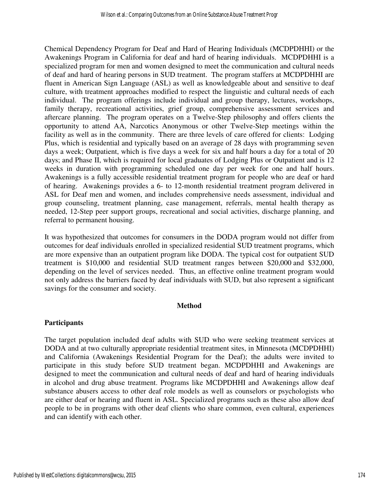Chemical Dependency Program for Deaf and Hard of Hearing Individuals (MCDPDHHI) or the Awakenings Program in California for deaf and hard of hearing individuals. MCDPDHHI is a specialized program for men and women designed to meet the communication and cultural needs of deaf and hard of hearing persons in SUD treatment. The program staffers at MCDPDHHI are fluent in American Sign Language (ASL) as well as knowledgeable about and sensitive to deaf culture, with treatment approaches modified to respect the linguistic and cultural needs of each individual. The program offerings include individual and group therapy, lectures, workshops, family therapy, recreational activities, grief group, comprehensive assessment services and aftercare planning. The program operates on a Twelve-Step philosophy and offers clients the opportunity to attend AA, Narcotics Anonymous or other Twelve-Step meetings within the facility as well as in the community. There are three levels of care offered for clients: Lodging Plus, which is residential and typically based on an average of 28 days with programming seven days a week; Outpatient, which is five days a week for six and half hours a day for a total of 20 days; and Phase II, which is required for local graduates of Lodging Plus or Outpatient and is 12 weeks in duration with programming scheduled one day per week for one and half hours. Awakenings is a fully accessible residential treatment program for people who are deaf or hard of hearing. Awakenings provides a 6- to 12-month residential treatment program delivered in ASL for Deaf men and women, and includes comprehensive needs assessment, individual and group counseling, treatment planning, case management, referrals, mental health therapy as needed, 12-Step peer support groups, recreational and social activities, discharge planning, and referral to permanent housing.

It was hypothesized that outcomes for consumers in the DODA program would not differ from outcomes for deaf individuals enrolled in specialized residential SUD treatment programs, which are more expensive than an outpatient program like DODA. The typical cost for outpatient SUD treatment is \$10,000 and residential SUD treatment ranges between \$20,000 and \$32,000, depending on the level of services needed. Thus, an effective online treatment program would not only address the barriers faced by deaf individuals with SUD, but also represent a significant savings for the consumer and society.

## **Method**

## **Participants**

The target population included deaf adults with SUD who were seeking treatment services at DODA and at two culturally appropriate residential treatment sites, in Minnesota (MCDPDHHI) and California (Awakenings Residential Program for the Deaf); the adults were invited to participate in this study before SUD treatment began. MCDPDHHI and Awakenings are designed to meet the communication and cultural needs of deaf and hard of hearing individuals in alcohol and drug abuse treatment. Programs like MCDPDHHI and Awakenings allow deaf substance abusers access to other deaf role models as well as counselors or psychologists who are either deaf or hearing and fluent in ASL. Specialized programs such as these also allow deaf people to be in programs with other deaf clients who share common, even cultural, experiences and can identify with each other.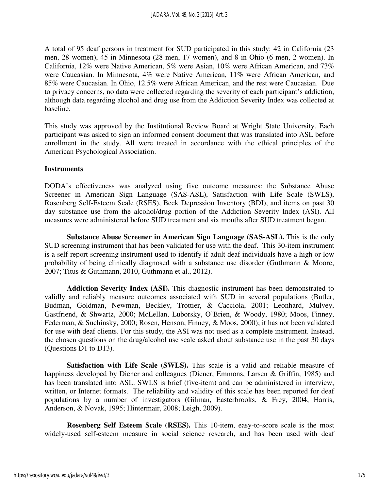A total of 95 deaf persons in treatment for SUD participated in this study: 42 in California (23 men, 28 women), 45 in Minnesota (28 men, 17 women), and 8 in Ohio (6 men, 2 women). In California, 12% were Native American, 5% were Asian, 10% were African American, and 73% were Caucasian. In Minnesota, 4% were Native American, 11% were African American, and 85% were Caucasian. In Ohio, 12.5% were African American, and the rest were Caucasian. Due to privacy concerns, no data were collected regarding the severity of each participant's addiction, although data regarding alcohol and drug use from the Addiction Severity Index was collected at baseline.

This study was approved by the Institutional Review Board at Wright State University. Each participant was asked to sign an informed consent document that was translated into ASL before enrollment in the study. All were treated in accordance with the ethical principles of the American Psychological Association.

#### **Instruments**

DODA's effectiveness was analyzed using five outcome measures: the Substance Abuse Screener in American Sign Language (SAS-ASL), Satisfaction with Life Scale (SWLS), Rosenberg Self-Esteem Scale (RSES), Beck Depression Inventory (BDI), and items on past 30 day substance use from the alcohol/drug portion of the Addiction Severity Index (ASI). All measures were administered before SUD treatment and six months after SUD treatment began.

**Substance Abuse Screener in American Sign Language (SAS-ASL).** This is the only SUD screening instrument that has been validated for use with the deaf. This 30-item instrument is a self-report screening instrument used to identify if adult deaf individuals have a high or low probability of being clinically diagnosed with a substance use disorder (Guthmann & Moore, 2007; Titus & Guthmann, 2010, Guthmann et al., 2012).

**Addiction Severity Index (ASI).** This diagnostic instrument has been demonstrated to validly and reliably measure outcomes associated with SUD in several populations (Butler, Budman, Goldman, Newman, Beckley, Trottier, & Cacciola, 2001; Leonhard, Mulvey, Gastfriend, & Shwartz, 2000; McLellan, Luborsky, O'Brien, & Woody, 1980; Moos, Finney, Federman, & Suchinsky, 2000; Rosen, Henson, Finney, & Moos, 2000); it has not been validated for use with deaf clients. For this study, the ASI was not used as a complete instrument. Instead, the chosen questions on the drug/alcohol use scale asked about substance use in the past 30 days (Questions D1 to D13).

**Satisfaction with Life Scale (SWLS).** This scale is a valid and reliable measure of happiness developed by Diener and colleagues (Diener, Emmons, Larsen & Griffin, 1985) and has been translated into ASL. SWLS is brief (five-item) and can be administered in interview, written, or Internet formats. The reliability and validity of this scale has been reported for deaf populations by a number of investigators (Gilman, Easterbrooks, & Frey, 2004; Harris, Anderson, & Novak, 1995; Hintermair, 2008; Leigh, 2009).

**Rosenberg Self Esteem Scale (RSES).** This 10-item, easy-to-score scale is the most widely-used self-esteem measure in social science research, and has been used with deaf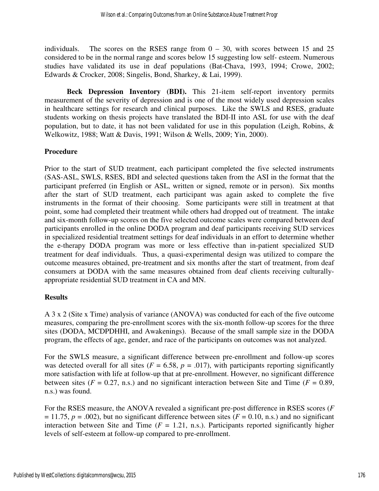individuals. The scores on the RSES range from  $0 - 30$ , with scores between 15 and 25 considered to be in the normal range and scores below 15 suggesting low self- esteem. Numerous studies have validated its use in deaf populations (Bat-Chava, 1993, 1994; Crowe, 2002; Edwards & Crocker, 2008; Singelis, Bond, Sharkey, & Lai, 1999).

**Beck Depression Inventory (BDI).** This 21-item self-report inventory permits measurement of the severity of depression and is one of the most widely used depression scales in healthcare settings for research and clinical purposes. Like the SWLS and RSES, graduate students working on thesis projects have translated the BDI-II into ASL for use with the deaf population, but to date, it has not been validated for use in this population (Leigh, Robins, & Welkowitz, 1988; Watt & Davis, 1991; Wilson & Wells, 2009; Yin, 2000).

## **Procedure**

Prior to the start of SUD treatment, each participant completed the five selected instruments (SAS-ASL, SWLS, RSES, BDI and selected questions taken from the ASI in the format that the participant preferred (in English or ASL, written or signed, remote or in person). Six months after the start of SUD treatment, each participant was again asked to complete the five instruments in the format of their choosing. Some participants were still in treatment at that point, some had completed their treatment while others had dropped out of treatment. The intake and six-month follow-up scores on the five selected outcome scales were compared between deaf participants enrolled in the online DODA program and deaf participants receiving SUD services in specialized residential treatment settings for deaf individuals in an effort to determine whether the e-therapy DODA program was more or less effective than in-patient specialized SUD treatment for deaf individuals. Thus, a quasi-experimental design was utilized to compare the outcome measures obtained, pre-treatment and six months after the start of treatment, from deaf consumers at DODA with the same measures obtained from deaf clients receiving culturallyappropriate residential SUD treatment in CA and MN.

## **Results**

A 3 x 2 (Site x Time) analysis of variance (ANOVA) was conducted for each of the five outcome measures, comparing the pre-enrollment scores with the six-month follow-up scores for the three sites (DODA, MCDPDHHI, and Awakenings). Because of the small sample size in the DODA program, the effects of age, gender, and race of the participants on outcomes was not analyzed.

For the SWLS measure, a significant difference between pre-enrollment and follow-up scores was detected overall for all sites ( $F = 6.58$ ,  $p = .017$ ), with participants reporting significantly more satisfaction with life at follow-up that at pre-enrollment. However, no significant difference between sites ( $F = 0.27$ , n.s.) and no significant interaction between Site and Time ( $F = 0.89$ , n.s.) was found.

For the RSES measure, the ANOVA revealed a significant pre-post difference in RSES scores (*F*  $= 11.75$ ,  $p = .002$ ), but no significant difference between sites ( $F = 0.10$ , n.s.) and no significant interaction between Site and Time  $(F = 1.21, n.s.)$ . Participants reported significantly higher levels of self-esteem at follow-up compared to pre-enrollment.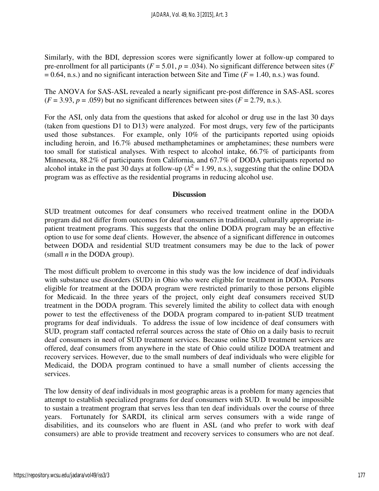Similarly, with the BDI, depression scores were significantly lower at follow-up compared to pre-enrollment for all participants ( $F = 5.01$ ,  $p = .034$ ). No significant difference between sites ( $F = 5.01$  $= 0.64$ , n.s.) and no significant interaction between Site and Time ( $F = 1.40$ , n.s.) was found.

The ANOVA for SAS-ASL revealed a nearly significant pre-post difference in SAS-ASL scores  $(F = 3.93, p = .059)$  but no significant differences between sites  $(F = 2.79, n.s.).$ 

For the ASI, only data from the questions that asked for alcohol or drug use in the last 30 days (taken from questions D1 to D13) were analyzed. For most drugs, very few of the participants used those substances. For example, only 10% of the participants reported using opioids including heroin, and 16.7% abused methamphetamines or amphetamines; these numbers were too small for statistical analyses. With respect to alcohol intake, 66.7% of participants from Minnesota, 88.2% of participants from California, and 67.7% of DODA participants reported no alcohol intake in the past 30 days at follow-up ( $X^2 = 1.99$ , n.s.), suggesting that the online DODA program was as effective as the residential programs in reducing alcohol use.

#### **Discussion**

SUD treatment outcomes for deaf consumers who received treatment online in the DODA program did not differ from outcomes for deaf consumers in traditional, culturally appropriate inpatient treatment programs. This suggests that the online DODA program may be an effective option to use for some deaf clients. However, the absence of a significant difference in outcomes between DODA and residential SUD treatment consumers may be due to the lack of power (small *n* in the DODA group).

The most difficult problem to overcome in this study was the low incidence of deaf individuals with substance use disorders (SUD) in Ohio who were eligible for treatment in DODA. Persons eligible for treatment at the DODA program were restricted primarily to those persons eligible for Medicaid. In the three years of the project, only eight deaf consumers received SUD treatment in the DODA program. This severely limited the ability to collect data with enough power to test the effectiveness of the DODA program compared to in-patient SUD treatment programs for deaf individuals. To address the issue of low incidence of deaf consumers with SUD, program staff contacted referral sources across the state of Ohio on a daily basis to recruit deaf consumers in need of SUD treatment services. Because online SUD treatment services are offered, deaf consumers from anywhere in the state of Ohio could utilize DODA treatment and recovery services. However, due to the small numbers of deaf individuals who were eligible for Medicaid, the DODA program continued to have a small number of clients accessing the services.

The low density of deaf individuals in most geographic areas is a problem for many agencies that attempt to establish specialized programs for deaf consumers with SUD. It would be impossible to sustain a treatment program that serves less than ten deaf individuals over the course of three years. Fortunately for SARDI, its clinical arm serves consumers with a wide range of disabilities, and its counselors who are fluent in ASL (and who prefer to work with deaf consumers) are able to provide treatment and recovery services to consumers who are not deaf.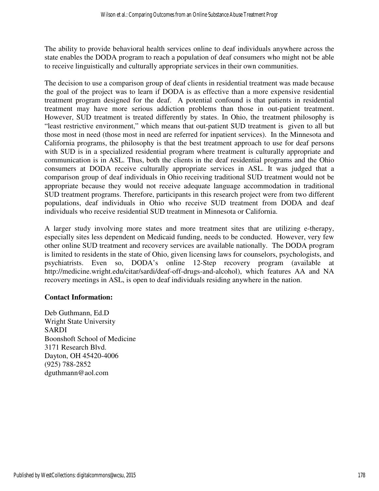The ability to provide behavioral health services online to deaf individuals anywhere across the state enables the DODA program to reach a population of deaf consumers who might not be able to receive linguistically and culturally appropriate services in their own communities.

The decision to use a comparison group of deaf clients in residential treatment was made because the goal of the project was to learn if DODA is as effective than a more expensive residential treatment program designed for the deaf. A potential confound is that patients in residential treatment may have more serious addiction problems than those in out-patient treatment. However, SUD treatment is treated differently by states. In Ohio, the treatment philosophy is "least restrictive environment," which means that out-patient SUD treatment is given to all but those most in need (those most in need are referred for inpatient services). In the Minnesota and California programs, the philosophy is that the best treatment approach to use for deaf persons with SUD is in a specialized residential program where treatment is culturally appropriate and communication is in ASL. Thus, both the clients in the deaf residential programs and the Ohio consumers at DODA receive culturally appropriate services in ASL. It was judged that a comparison group of deaf individuals in Ohio receiving traditional SUD treatment would not be appropriate because they would not receive adequate language accommodation in traditional SUD treatment programs. Therefore, participants in this research project were from two different populations, deaf individuals in Ohio who receive SUD treatment from DODA and deaf individuals who receive residential SUD treatment in Minnesota or California.

A larger study involving more states and more treatment sites that are utilizing e-therapy, especially sites less dependent on Medicaid funding, needs to be conducted. However, very few other online SUD treatment and recovery services are available nationally. The DODA program is limited to residents in the state of Ohio, given licensing laws for counselors, psychologists, and psychiatrists. Even so, DODA's online 12-Step recovery program (available at http://medicine.wright.edu/citar/sardi/deaf-off-drugs-and-alcohol), which features AA and NA recovery meetings in ASL, is open to deaf individuals residing anywhere in the nation.

# **Contact Information:**

Deb Guthmann, Ed.D Wright State University SARDI Boonshoft School of Medicine 3171 Research Blvd. Dayton, OH 45420-4006 (925) 788-2852 dguthmann@aol.com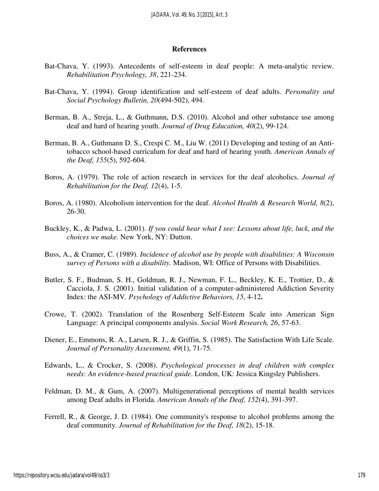#### **References**

- Bat-Chava, Y. (1993). Antecedents of self-esteem in deaf people: A meta-analytic review. *Rehabilitation Psychology, 38*, 221-234.
- Bat-Chava, Y. (1994). Group identification and self-esteem of deaf adults. *Personality and Social Psychology Bulletin, 20*(494-502), 494.
- Berman, B. A., Streja, L., & Guthmann, D.S. (2010). Alcohol and other substance use among deaf and hard of hearing youth. *Journal of Drug Education, 40*(2), 99-124.
- Berman, B. A., Guthmann D. S., Crespi C. M., Liu W. (2011) Developing and testing of an Antitobacco school-based curriculum for deaf and hard of hearing youth. *American Annals of the Deaf, 155*(5), 592-604.
- Boros, A. (1979). The role of action research in services for the deaf alcoholics. *Journal of Rehabilitation for the Deaf, 12*(4), 1-5.
- Boros, A. (1980). Alcoholism intervention for the deaf. *Alcohol Health & Research World, 8*(2), 26-30.
- Buckley, K., & Padwa, L. (2001). *If you could hear what I see: Lessons about life, luck, and the choices we make.* New York, NY: Dutton.
- Buss, A., & Cramer, C. (1989). *Incidence of alcohol use by people with disabilities: A Wisconsin survey of Persons with a disability.* Madison, WI: Office of Persons with Disabilities.
- Butler, S. F., Budman, S. H., Goldman, R. J., Newman, F. L., Beckley, K. E., Trottier, D., & Cacciola, J. S. (2001). Initial validation of a computer-administered Addiction Severity Index: the ASI-MV*. Psychology of Addictive Behaviors, 15*, 4-12**.**
- Crowe, T. (2002). Translation of the Rosenberg Self-Esteem Scale into American Sign Language: A principal components analysis. *Social Work Research, 26*, 57-63.
- Diener, E., Emmons, R. A., Larsen, R. J., & Griffin, S. (1985). The Satisfaction With Life Scale. *Journal of Personality Assessment, 49*(1), 71-75.
- Edwards, L., & Crocker, S. (2008). *Psychological processes in deaf children with complex needs: An evidence-based practical guide*. London, UK: Jessica Kingsley Publishers.
- Feldman, D. M., & Gum, A. (2007). Multigenerational perceptions of mental health services among Deaf adults in Florida. *American Annals of the Deaf, 152*(4), 391-397.
- Ferrell, R., & George, J. D. (1984). One community's response to alcohol problems among the deaf community. *Journal of Rehabilitation for the Deaf, 18*(2), 15-18.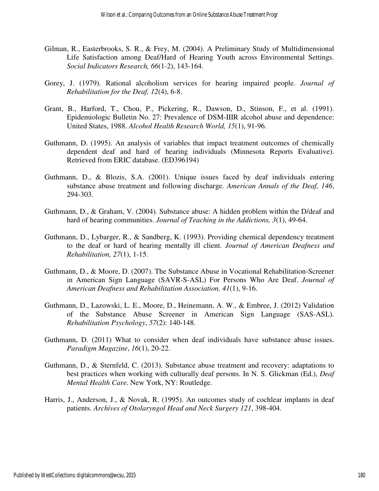- Gilman, R., Easterbrooks, S. R., & Frey, M. (2004). A Preliminary Study of Multidimensional Life Satisfaction among Deaf/Hard of Hearing Youth across Environmental Settings. *Social Indicators Research, 66*(1-2), 143-164.
- Gorey, J. (1979). Rational alcoholism services for hearing impaired people. *Journal of Rehabilitation for the Deaf, 12*(4), 6-8.
- Grant, B., Harford, T., Chou, P., Pickering, R., Dawson, D., Stinson, F., et al. (1991). Epidemiologic Bulletin No. 27: Prevalence of DSM-IIIR alcohol abuse and dependence: United States, 1988. *Alcohol Health Research World, 15*(1), 91-96.
- Guthmann, D. (1995). An analysis of variables that impact treatment outcomes of chemically dependent deaf and hard of hearing individuals (Minnesota Reports Evaluative). Retrieved from ERIC database. (ED396194)
- Guthmann, D., & Blozis, S.A. (2001). Unique issues faced by deaf individuals entering substance abuse treatment and following discharge. *American Annals of the Deaf, 146*, 294-303.
- Guthmann, D., & Graham, V. (2004). Substance abuse: A hidden problem within the D/deaf and hard of hearing communities. *Journal of Teaching in the Addictions, 3*(1), 49-64.
- Guthmann, D., Lybarger, R., & Sandberg, K. (1993). Providing chemical dependency treatment to the deaf or hard of hearing mentally ill client. *Journal of American Deafness and Rehabilitation, 27*(1), 1-15.
- Guthmann, D., & Moore, D. (2007). The Substance Abuse in Vocational Rehabilitation-Screener in American Sign Language (SAVR-S-ASL) For Persons Who Are Deaf. *Journal of American Deafness and Rehabilitation Association, 41*(1), 9-16.
- Guthmann, D., Lazowski, L. E., Moore, D., Heinemann, A. W., & Embree, J. (2012) Validation of the Substance Abuse Screener in American Sign Language (SAS-ASL). *Rehabilitation Psychology*, *57*(2): 140-148.
- Guthmann, D. (2011) What to consider when deaf individuals have substance abuse issues. *Paradigm Magazine*, *16*(1), 20-22.
- Guthmann, D., & Sternfeld, C. (2013). Substance abuse treatment and recovery: adaptations to best practices when working with culturally deaf persons. In N. S. Glickman (Ed.), *Deaf Mental Health Care.* New York, NY: Routledge.
- Harris, J., Anderson, J., & Novak, R. (1995). An outcomes study of cochlear implants in deaf patients. *Archives of Otolaryngol Head and Neck Surgery 121*, 398-404.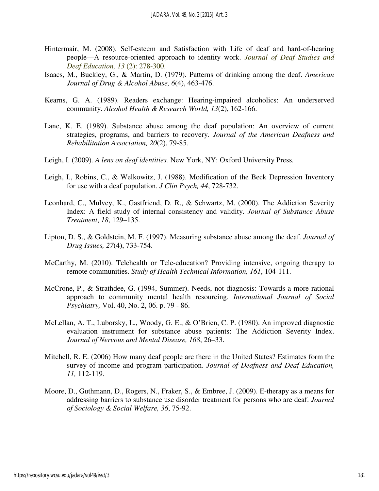- Hintermair, M. (2008). Self-esteem and Satisfaction with Life of deaf and hard-of-hearing people—A resource-oriented approach to identity work. *Journal of Deaf Studies and Deaf Education, 13* (2): 278-300.
- Isaacs, M., Buckley, G., & Martin, D. (1979). Patterns of drinking among the deaf. *American Journal of Drug & Alcohol Abuse, 6*(4), 463-476.
- Kearns, G. A. (1989). Readers exchange: Hearing-impaired alcoholics: An underserved community. *Alcohol Health & Research World, 13*(2), 162-166.
- Lane, K. E. (1989). Substance abuse among the deaf population: An overview of current strategies, programs, and barriers to recovery. *Journal of the American Deafness and Rehabilitation Association, 20*(2), 79-85.
- Leigh, I. (2009). *A lens on deaf identities.* New York, NY: Oxford University Press*.*
- Leigh, I., Robins, C., & Welkowitz, J. (1988). Modification of the Beck Depression Inventory for use with a deaf population. *J Clin Psych, 44*, 728-732.
- Leonhard, C., Mulvey, K., Gastfriend, D. R., & Schwartz, M. (2000). The Addiction Severity Index: A field study of internal consistency and validity. *Journal of Substance Abuse Treatment*, *18*, 129–135.
- Lipton, D. S., & Goldstein, M. F. (1997). Measuring substance abuse among the deaf. *Journal of Drug Issues, 27*(4), 733-754.
- McCarthy, M. (2010). Telehealth or Tele-education? Providing intensive, ongoing therapy to remote communities. *Study of Health Technical Information, 161*, 104-111.
- McCrone, P., & Strathdee, G. (1994, Summer). Needs, not diagnosis: Towards a more rational approach to community mental health resourcing*. International Journal of Social Psychiatry,* Vol. 40, No. 2, 06. p. 79 - 86.
- McLellan, A. T., Luborsky, L., Woody, G. E., & O'Brien, C. P. (1980). An improved diagnostic evaluation instrument for substance abuse patients: The Addiction Severity Index. *Journal of Nervous and Mental Disease, 168*, 26–33.
- Mitchell, R. E. (2006) How many deaf people are there in the United States? Estimates form the survey of income and program participation. *Journal of Deafness and Deaf Education, 11,* 112-119.
- Moore, D., Guthmann, D., Rogers, N., Fraker, S., & Embree, J. (2009). E-therapy as a means for addressing barriers to substance use disorder treatment for persons who are deaf. *Journal of Sociology & Social Welfare, 36*, 75-92.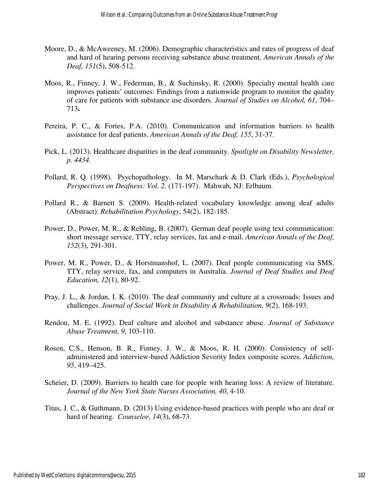- Moore, D., & McAweeney, M. (2006). Demographic characteristics and rates of progress of deaf and hard of hearing persons receiving substance abuse treatment. *American Annals of the Deaf, 151*(5), 508-512.
- Moos, R., Finney, J. W., Federman, B., & Suchinsky, R. (2000). Specialty mental health care improves patients' outcomes: Findings from a nationwide program to monitor the quality of care for patients with substance use disorders. *Journal of Studies on Alcohol, 61*, 704– 713**.**
- Pereira, P. C., & Fortes, P.A. (2010). Communication and information barriers to health assistance for deaf patients. *American Annals of the Deaf, 155*, 31-37.
- Pick, L. (2013). Healthcare disparities in the deaf community. *Spotlight on Disability Newsletter, p. 4434.*
- Pollard, R. Q. (1998). Psychopathology. In M. Marschark & D. Clark (Eds.), *Psychological Perspectives on Deafness: Vol. 2.* (171-197). Mahwah, NJ: Erlbaum.
- Pollard R., & Barnett S. (2009). Health-related vocabulary knowledge among deaf adults (Abstract). *Rehabilitation Psychology*, 54(2), 182-185.
- Power, D., Power, M. R., & Rehling, B. (2007). German deaf people using text communication: short message service, TTY, relay services, fax and e-mail. *American Annals of the Deaf, 152*(3), 291-301.
- Power, M. R., Power, D., & Horstmanshof, L. (2007). Deaf people communicating via SMS, TTY, relay service, fax, and computers in Australia. *Journal of Deaf Studies and Deaf Education, 12*(1), 80-92.
- Pray, J. L., & Jordan, I. K. (2010). The deaf community and culture at a crossroads: Issues and challenges. *Journal of Social Work in Disability & Rehabilitation, 9*(2), 168-193.
- Rendon, M. E. (1992). Deaf culture and alcohol and substance abuse. *Journal of Substance Abuse Treatment, 9*, 103-110.
- Rosen, C.S., Henson, B. R., Finney, J. W., & Moos, R. H. (2000). Consistency of selfadministered and interview-based Addiction Severity Index composite scores. *Addiction, 95*, 419–425.
- Scheier, D. (2009). Barriers to health care for people with hearing loss: A review of literature. *Journal of the New York State Nurses Association, 40*, 4-10.
- Titus, J. C., & Guthmann, D. (2013) Using evidence-based practices with people who are deaf or hard of hearing. *Counselor, 14*(3), 68-73.